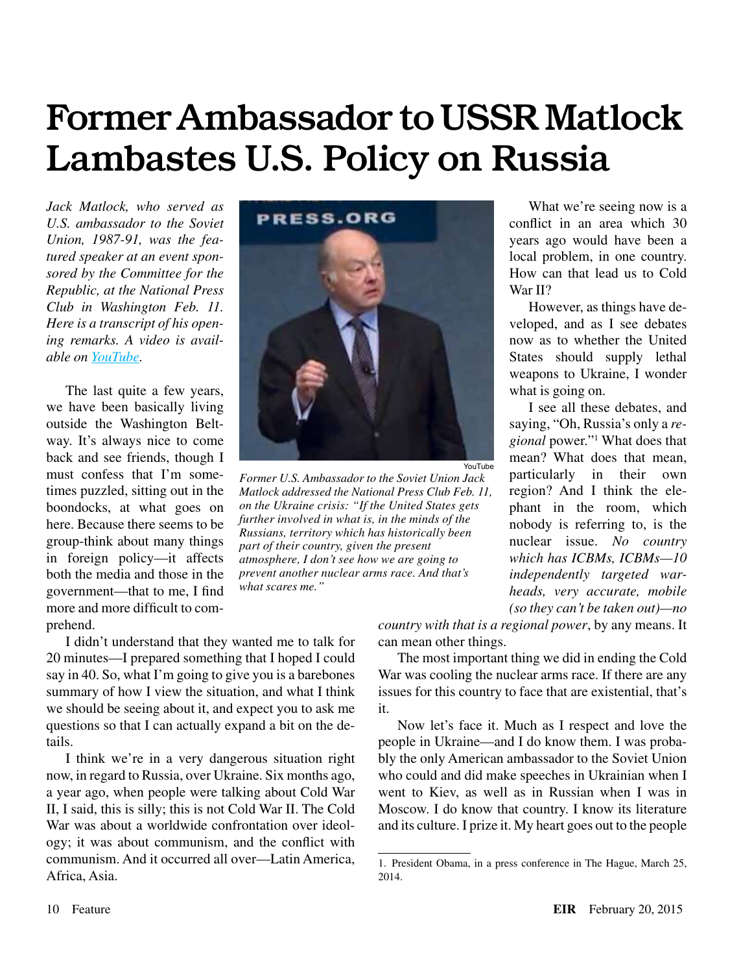# Former Ambassador to USSR Matlock Lambastes U.S. Policy on Russia

*Jack Matlock, who served as U.S. ambassador to the Soviet Union, 1987-91, was the featured speaker at an event sponsored by the Committee for the Republic, at the National Press Club in Washington Feb. 11. Here is a transcript of his opening remarks. A video is available on [YouTube](https://www.youtube.com/watch?v=VmP513n78YE).*

The last quite a few years, we have been basically living outside the Washington Beltway. It's always nice to come back and see friends, though I must confess that I'm sometimes puzzled, sitting out in the boondocks, at what goes on here. Because there seems to be group-think about many things in foreign policy—it affects both the media and those in the government—that to me, I find more and more difficult to comprehend.



YouTube

*Former U.S. Ambassador to the Soviet Union Jack Matlock addressed the National Press Club Feb. 11, on the Ukraine crisis: "If the United States gets further involved in what is, in the minds of the Russians, territory which has historically been part of their country, given the present atmosphere, I don't see how we are going to prevent another nuclear arms race. And that's what scares me."*

I didn't understand that they wanted me to talk for 20 minutes—I prepared something that I hoped I could say in 40. So, what I'm going to give you is a barebones summary of how I view the situation, and what I think we should be seeing about it, and expect you to ask me questions so that I can actually expand a bit on the details.

I think we're in a very dangerous situation right now, in regard to Russia, over Ukraine. Six months ago, a year ago, when people were talking about Cold War II, I said, this is silly; this is not Cold War II. The Cold War was about a worldwide confrontation over ideology; it was about communism, and the conflict with communism. And it occurred all over—Latin America, Africa, Asia.

What we're seeing now is a conflict in an area which 30 years ago would have been a local problem, in one country. How can that lead us to Cold War II?

However, as things have developed, and as I see debates now as to whether the United States should supply lethal weapons to Ukraine, I wonder what is going on.

I see all these debates, and saying, "Oh, Russia's only a *regional* power."1 What does that mean? What does that mean, particularly in their own region? And I think the elephant in the room, which nobody is referring to, is the nuclear issue. *No country which has ICBMs, ICBMs—10 independently targeted warheads, very accurate, mobile (so they can't be taken out)—no* 

*country with that is a regional power*, by any means. It can mean other things.

The most important thing we did in ending the Cold War was cooling the nuclear arms race. If there are any issues for this country to face that are existential, that's it.

Now let's face it. Much as I respect and love the people in Ukraine—and I do know them. I was probably the only American ambassador to the Soviet Union who could and did make speeches in Ukrainian when I went to Kiev, as well as in Russian when I was in Moscow. I do know that country. I know its literature and its culture. I prize it. My heart goes out to the people

<sup>1.</sup> President Obama, in a press conference in The Hague, March 25, 2014.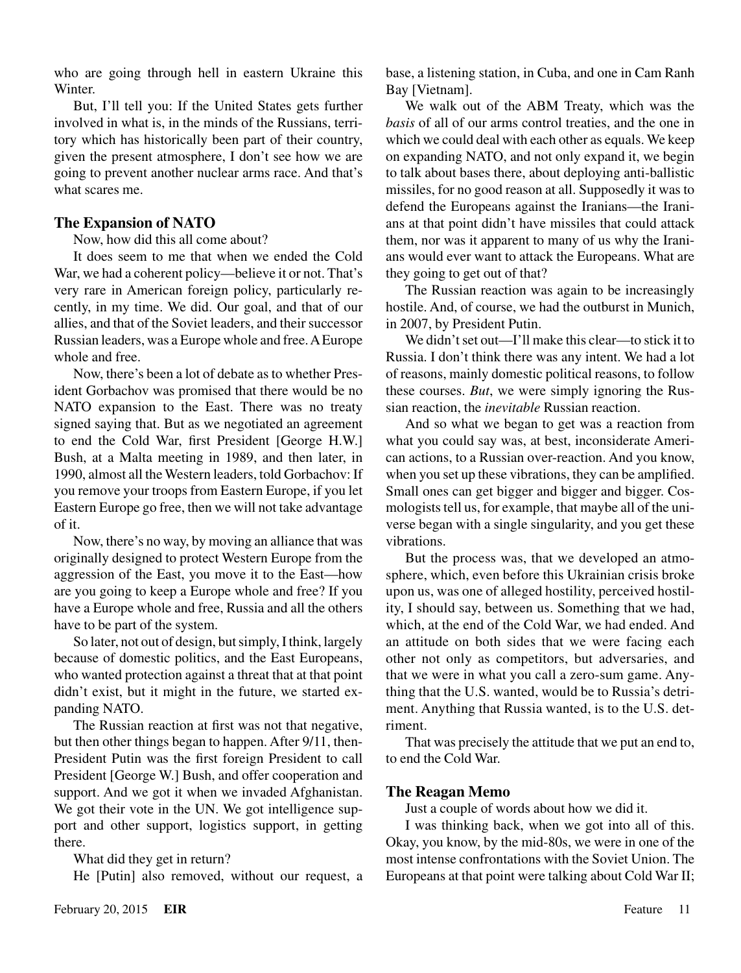who are going through hell in eastern Ukraine this **Winter** 

But, I'll tell you: If the United States gets further involved in what is, in the minds of the Russians, territory which has historically been part of their country, given the present atmosphere, I don't see how we are going to prevent another nuclear arms race. And that's what scares me.

# **The Expansion of NATO**

#### Now, how did this all come about?

It does seem to me that when we ended the Cold War, we had a coherent policy—believe it or not. That's very rare in American foreign policy, particularly recently, in my time. We did. Our goal, and that of our allies, and that of the Soviet leaders, and their successor Russian leaders, was a Europe whole and free. A Europe whole and free.

Now, there's been a lot of debate as to whether President Gorbachov was promised that there would be no NATO expansion to the East. There was no treaty signed saying that. But as we negotiated an agreement to end the Cold War, first President [George H.W.] Bush, at a Malta meeting in 1989, and then later, in 1990, almost all the Western leaders, told Gorbachov: If you remove your troops from Eastern Europe, if you let Eastern Europe go free, then we will not take advantage of it.

Now, there's no way, by moving an alliance that was originally designed to protect Western Europe from the aggression of the East, you move it to the East—how are you going to keep a Europe whole and free? If you have a Europe whole and free, Russia and all the others have to be part of the system.

So later, not out of design, but simply, I think, largely because of domestic politics, and the East Europeans, who wanted protection against a threat that at that point didn't exist, but it might in the future, we started expanding NATO.

The Russian reaction at first was not that negative, but then other things began to happen. After 9/11, then-President Putin was the first foreign President to call President [George W.] Bush, and offer cooperation and support. And we got it when we invaded Afghanistan. We got their vote in the UN. We got intelligence support and other support, logistics support, in getting there.

What did they get in return?

He [Putin] also removed, without our request, a

We walk out of the ABM Treaty, which was the *basis* of all of our arms control treaties, and the one in which we could deal with each other as equals. We keep on expanding NATO, and not only expand it, we begin to talk about bases there, about deploying anti-ballistic missiles, for no good reason at all. Supposedly it was to defend the Europeans against the Iranians—the Iranians at that point didn't have missiles that could attack them, nor was it apparent to many of us why the Iranians would ever want to attack the Europeans. What are they going to get out of that?

The Russian reaction was again to be increasingly hostile. And, of course, we had the outburst in Munich, in 2007, by President Putin.

We didn't set out—I'll make this clear—to stick it to Russia. I don't think there was any intent. We had a lot of reasons, mainly domestic political reasons, to follow these courses. *But*, we were simply ignoring the Russian reaction, the *inevitable* Russian reaction.

And so what we began to get was a reaction from what you could say was, at best, inconsiderate American actions, to a Russian over-reaction. And you know, when you set up these vibrations, they can be amplified. Small ones can get bigger and bigger and bigger. Cosmologists tell us, for example, that maybe all of the universe began with a single singularity, and you get these vibrations.

But the process was, that we developed an atmosphere, which, even before this Ukrainian crisis broke upon us, was one of alleged hostility, perceived hostility, I should say, between us. Something that we had, which, at the end of the Cold War, we had ended. And an attitude on both sides that we were facing each other not only as competitors, but adversaries, and that we were in what you call a zero-sum game. Anything that the U.S. wanted, would be to Russia's detriment. Anything that Russia wanted, is to the U.S. detriment.

That was precisely the attitude that we put an end to, to end the Cold War.

# **The Reagan Memo**

Just a couple of words about how we did it.

I was thinking back, when we got into all of this. Okay, you know, by the mid-80s, we were in one of the most intense confrontations with the Soviet Union. The Europeans at that point were talking about Cold War II;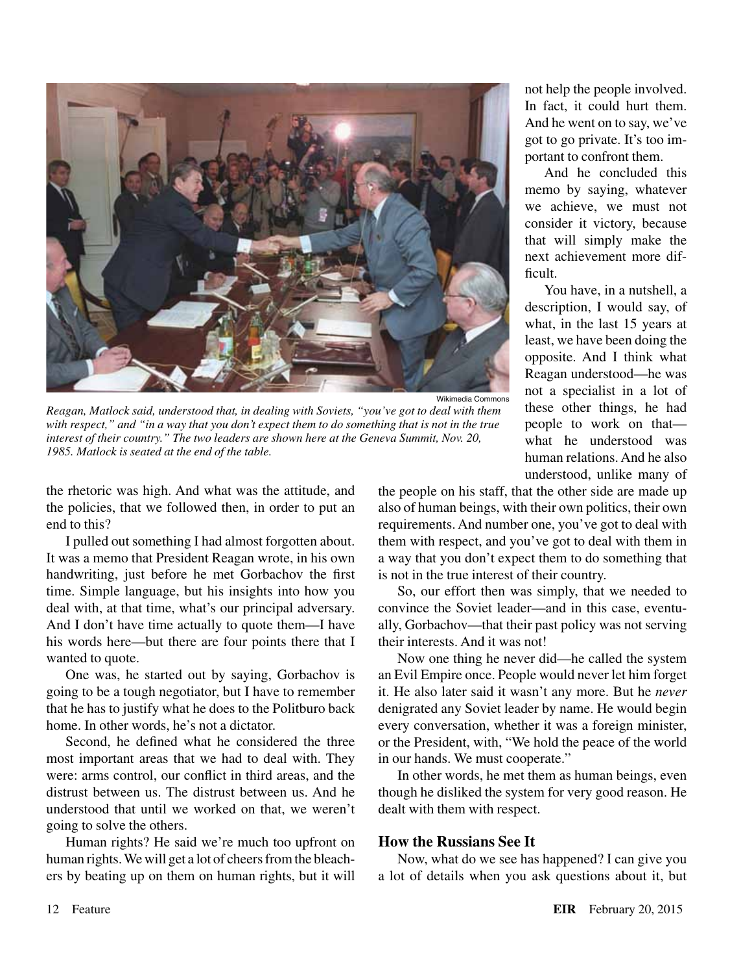

Wikimedia Commons

*Reagan, Matlock said, understood that, in dealing with Soviets, "you've got to deal with them with respect," and "in a way that you don't expect them to do something that is not in the true interest of their country." The two leaders are shown here at the Geneva Summit, Nov. 20, 1985. Matlock is seated at the end of the table.*

the rhetoric was high. And what was the attitude, and the policies, that we followed then, in order to put an end to this?

I pulled out something I had almost forgotten about. It was a memo that President Reagan wrote, in his own handwriting, just before he met Gorbachov the first time. Simple language, but his insights into how you deal with, at that time, what's our principal adversary. And I don't have time actually to quote them—I have his words here—but there are four points there that I wanted to quote.

One was, he started out by saying, Gorbachov is going to be a tough negotiator, but I have to remember that he has to justify what he does to the Politburo back home. In other words, he's not a dictator.

Second, he defined what he considered the three most important areas that we had to deal with. They were: arms control, our conflict in third areas, and the distrust between us. The distrust between us. And he understood that until we worked on that, we weren't going to solve the others.

Human rights? He said we're much too upfront on human rights. We will get a lot of cheers from the bleachers by beating up on them on human rights, but it will not help the people involved. In fact, it could hurt them. And he went on to say, we've got to go private. It's too important to confront them.

And he concluded this memo by saying, whatever we achieve, we must not consider it victory, because that will simply make the next achievement more difficult.

You have, in a nutshell, a description, I would say, of what, in the last 15 years at least, we have been doing the opposite. And I think what Reagan understood—he was not a specialist in a lot of these other things, he had people to work on that what he understood was human relations. And he also understood, unlike many of

the people on his staff, that the other side are made up also of human beings, with their own politics, their own requirements. And number one, you've got to deal with them with respect, and you've got to deal with them in a way that you don't expect them to do something that is not in the true interest of their country.

So, our effort then was simply, that we needed to convince the Soviet leader—and in this case, eventually, Gorbachov—that their past policy was not serving their interests. And it was not!

Now one thing he never did—he called the system an Evil Empire once. People would never let him forget it. He also later said it wasn't any more. But he *never* denigrated any Soviet leader by name. He would begin every conversation, whether it was a foreign minister, or the President, with, "We hold the peace of the world in our hands. We must cooperate."

In other words, he met them as human beings, even though he disliked the system for very good reason. He dealt with them with respect.

#### **How the Russians See It**

Now, what do we see has happened? I can give you a lot of details when you ask questions about it, but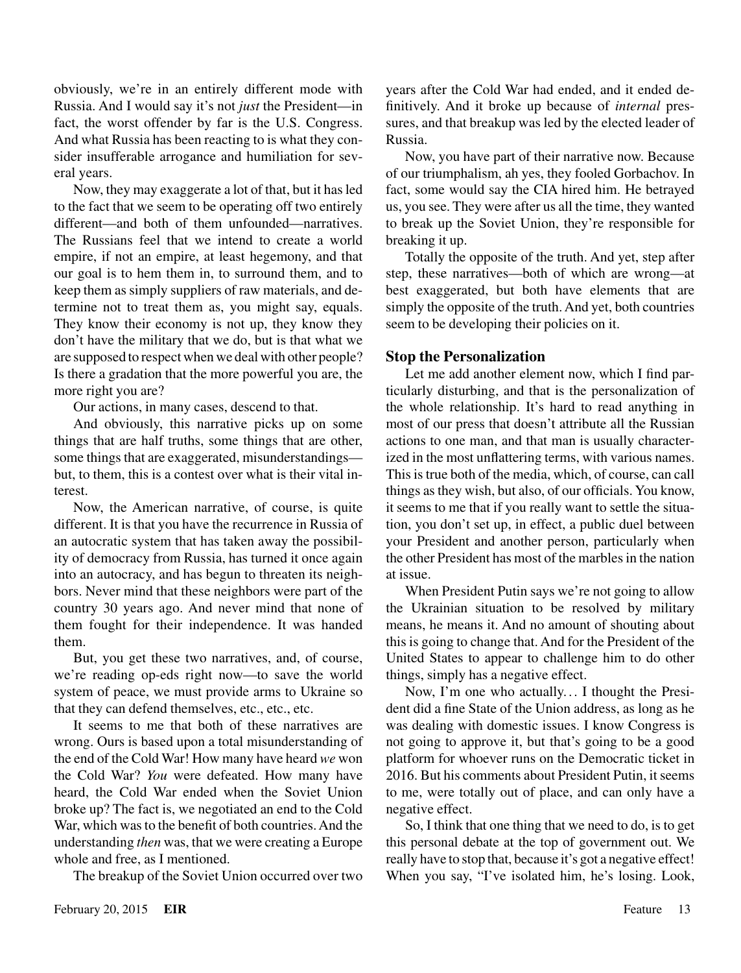obviously, we're in an entirely different mode with Russia. And I would say it's not *just* the President—in fact, the worst offender by far is the U.S. Congress. And what Russia has been reacting to is what they consider insufferable arrogance and humiliation for several years.

Now, they may exaggerate a lot of that, but it has led to the fact that we seem to be operating off two entirely different—and both of them unfounded—narratives. The Russians feel that we intend to create a world empire, if not an empire, at least hegemony, and that our goal is to hem them in, to surround them, and to keep them as simply suppliers of raw materials, and determine not to treat them as, you might say, equals. They know their economy is not up, they know they don't have the military that we do, but is that what we are supposed to respect when we deal with other people? Is there a gradation that the more powerful you are, the more right you are?

Our actions, in many cases, descend to that.

And obviously, this narrative picks up on some things that are half truths, some things that are other, some things that are exaggerated, misunderstandings but, to them, this is a contest over what is their vital interest.

Now, the American narrative, of course, is quite different. It is that you have the recurrence in Russia of an autocratic system that has taken away the possibility of democracy from Russia, has turned it once again into an autocracy, and has begun to threaten its neighbors. Never mind that these neighbors were part of the country 30 years ago. And never mind that none of them fought for their independence. It was handed them.

But, you get these two narratives, and, of course, we're reading op-eds right now—to save the world system of peace, we must provide arms to Ukraine so that they can defend themselves, etc., etc., etc.

It seems to me that both of these narratives are wrong. Ours is based upon a total misunderstanding of the end of the Cold War! How many have heard *we* won the Cold War? *You* were defeated. How many have heard, the Cold War ended when the Soviet Union broke up? The fact is, we negotiated an end to the Cold War, which was to the benefit of both countries. And the understanding *then* was, that we were creating a Europe whole and free, as I mentioned.

The breakup of the Soviet Union occurred over two

years after the Cold War had ended, and it ended definitively. And it broke up because of *internal* pressures, and that breakup was led by the elected leader of Russia.

Now, you have part of their narrative now. Because of our triumphalism, ah yes, they fooled Gorbachov. In fact, some would say the CIA hired him. He betrayed us, you see. They were after us all the time, they wanted to break up the Soviet Union, they're responsible for breaking it up.

Totally the opposite of the truth. And yet, step after step, these narratives—both of which are wrong—at best exaggerated, but both have elements that are simply the opposite of the truth. And yet, both countries seem to be developing their policies on it.

#### **Stop the Personalization**

Let me add another element now, which I find particularly disturbing, and that is the personalization of the whole relationship. It's hard to read anything in most of our press that doesn't attribute all the Russian actions to one man, and that man is usually characterized in the most unflattering terms, with various names. This is true both of the media, which, of course, can call things as they wish, but also, of our officials. You know, it seems to me that if you really want to settle the situation, you don't set up, in effect, a public duel between your President and another person, particularly when the other President has most of the marbles in the nation at issue.

When President Putin says we're not going to allow the Ukrainian situation to be resolved by military means, he means it. And no amount of shouting about this is going to change that. And for the President of the United States to appear to challenge him to do other things, simply has a negative effect.

Now, I'm one who actually... I thought the President did a fine State of the Union address, as long as he was dealing with domestic issues. I know Congress is not going to approve it, but that's going to be a good platform for whoever runs on the Democratic ticket in 2016. But his comments about President Putin, it seems to me, were totally out of place, and can only have a negative effect.

So, I think that one thing that we need to do, is to get this personal debate at the top of government out. We really have to stop that, because it's got a negative effect! When you say, "I've isolated him, he's losing. Look,